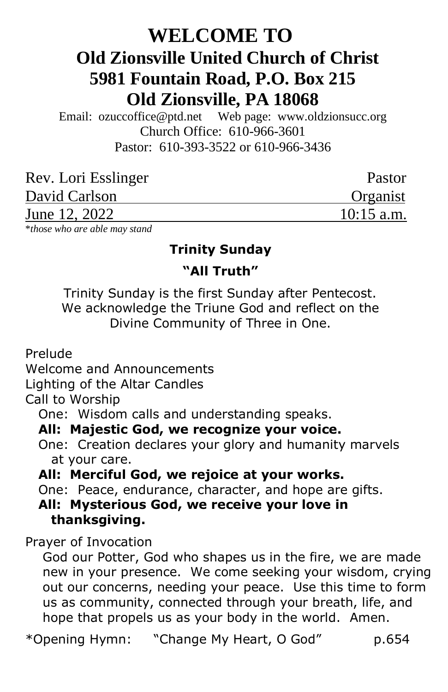# **WELCOME TO Old Zionsville United Church of Christ 5981 Fountain Road, P.O. Box 215 Old Zionsville, PA 18068**

Email: [ozuccoffice@ptd.net](mailto:ozuccoffice@ptd.net) Web page: [www.ol](http://www.uccwebsites.net/oldzionsvilleuccpa.html)dzionsucc.org Church Office: 610-966-3601 Pastor: 610-393-3522 or 610-966-3436

| Rev. Lori Esslinger                                                                               | Pastor       |
|---------------------------------------------------------------------------------------------------|--------------|
| David Carlson                                                                                     | Organist     |
| June 12, 2022                                                                                     | $10:15$ a.m. |
| $\mathbf{u} \cdot \mathbf{1}$ and $\mathbf{u} \cdot \mathbf{1}$ and $\mathbf{u} \cdot \mathbf{1}$ |              |

\**those who are able may stand*

## **Trinity Sunday "All Truth"**

Trinity Sunday is the first Sunday after Pentecost. We acknowledge the Triune God and reflect on the Divine Community of Three in One.

Prelude

Welcome and Announcements

Lighting of the Altar Candles

Call to Worship

One: Wisdom calls and understanding speaks.

#### **All: Majestic God, we recognize your voice.**

 One: Creation declares your glory and humanity marvels at your care.

 **All: Merciful God, we rejoice at your works.**

One: Peace, endurance, character, and hope are gifts.

#### **All: Mysterious God, we receive your love in thanksgiving.**

Prayer of Invocation

 God our Potter, God who shapes us in the fire, we are made new in your presence. We come seeking your wisdom, crying out our concerns, needing your peace. Use this time to form us as community, connected through your breath, life, and hope that propels us as your body in the world. Amen.

\*Opening Hymn: "Change My Heart, O God" p.654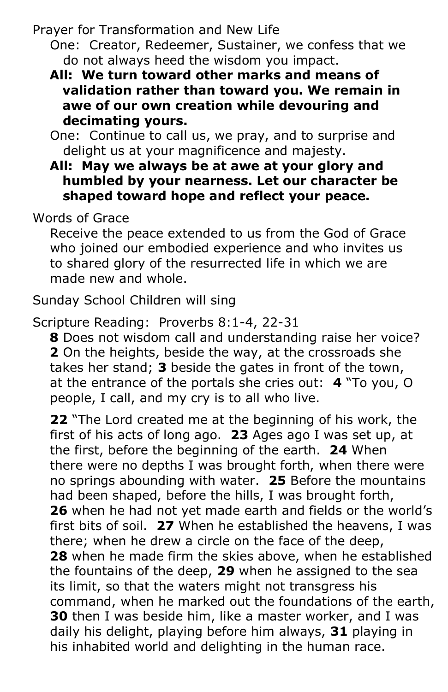Prayer for Transformation and New Life

 One: Creator, Redeemer, Sustainer, we confess that we do not always heed the wisdom you impact.

- **All: We turn toward other marks and means of validation rather than toward you. We remain in awe of our own creation while devouring and decimating yours.**
- One: Continue to call us, we pray, and to surprise and delight us at your magnificence and majesty.
- **All: May we always be at awe at your glory and humbled by your nearness. Let our character be shaped toward hope and reflect your peace.**

## Words of Grace

 Receive the peace extended to us from the God of Grace who joined our embodied experience and who invites us to shared glory of the resurrected life in which we are made new and whole.

Sunday School Children will sing

Scripture Reading: Proverbs 8:1-4, 22-31

 **8** Does not wisdom call and understanding raise her voice?  **2** On the heights, beside the way, at the crossroads she takes her stand; **3** beside the gates in front of the town, at the entrance of the portals she cries out: **4** "To you, O people, I call, and my cry is to all who live.

 **22** "The Lord created me at the beginning of his work, the first of his acts of long ago. **23** Ages ago I was set up, at the first, before the beginning of the earth. **24** When there were no depths I was brought forth, when there were no springs abounding with water. **25** Before the mountains had been shaped, before the hills, I was brought forth,  **26** when he had not yet made earth and fields or the world's first bits of soil. **27** When he established the heavens, I was there; when he drew a circle on the face of the deep,  **28** when he made firm the skies above, when he established the fountains of the deep, **29** when he assigned to the sea its limit, so that the waters might not transgress his command, when he marked out the foundations of the earth, **30** then I was beside him, like a master worker, and I was daily his delight, playing before him always, **31** playing in his inhabited world and delighting in the human race.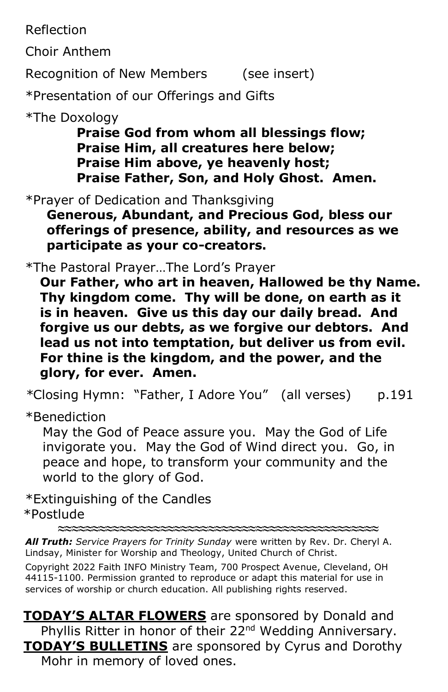Reflection

Choir Anthem

Recognition of New Members (see insert)

\*Presentation of our Offerings and Gifts

\*The Doxology

 **Praise God from whom all blessings flow; Praise Him, all creatures here below; Praise Him above, ye heavenly host; Praise Father, Son, and Holy Ghost. Amen.**

\*Prayer of Dedication and Thanksgiving

 **Generous, Abundant, and Precious God, bless our offerings of presence, ability, and resources as we participate as your co-creators.**

\*The Pastoral Prayer…The Lord's Prayer

**Our Father, who art in heaven, Hallowed be thy Name. Thy kingdom come. Thy will be done, on earth as it is in heaven. Give us this day our daily bread. And forgive us our debts, as we forgive our debtors. And lead us not into temptation, but deliver us from evil. For thine is the kingdom, and the power, and the glory, for ever. Amen.**

*\**Closing Hymn: "Father, I Adore You" (all verses) p.191

\*Benediction

 May the God of Peace assure you. May the God of Life invigorate you. May the God of Wind direct you. Go, in peace and hope, to transform your community and the world to the glory of God.

\*Extinguishing of the Candles \*Postlude

*All Truth: Service Prayers for Trinity Sunday* were written by Rev. Dr. Cheryl A. Lindsay, Minister for Worship and Theology, United Church of Christ.

**≈≈≈≈≈≈≈≈≈≈≈≈≈≈≈≈≈≈≈≈≈≈≈≈≈≈≈≈≈≈≈≈≈≈≈≈≈≈≈≈≈≈≈≈≈≈≈**

Copyright 2022 Faith INFO Ministry Team, 700 Prospect Avenue, Cleveland, OH 44115-1100. Permission granted to reproduce or adapt this material for use in services of worship or church education. All publishing rights reserved.

**TODAY'S ALTAR FLOWERS** are sponsored by Donald and Phyllis Ritter in honor of their 22<sup>nd</sup> Wedding Anniversary. **TODAY'S BULLETINS** are sponsored by Cyrus and Dorothy Mohr in memory of loved ones.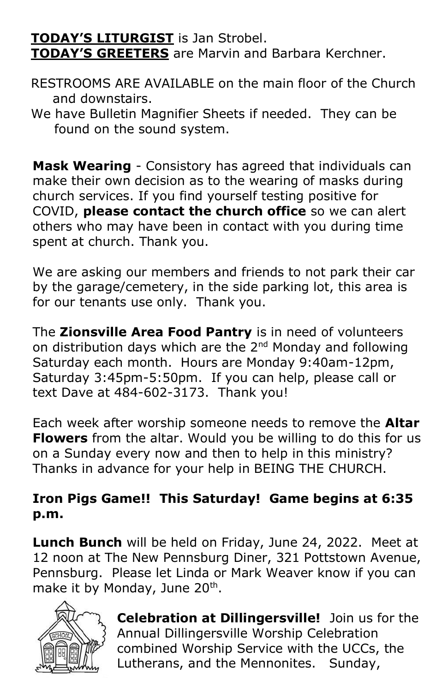## **TODAY'S LITURGIST** is Jan Strobel.

**TODAY'S GREETERS** are Marvin and Barbara Kerchner.

- RESTROOMS ARE AVAILABLE on the main floor of the Church and downstairs.
- We have Bulletin Magnifier Sheets if needed. They can be found on the sound system.

**Mask Wearing** - Consistory has agreed that individuals can make their own decision as to the wearing of masks during church services. If you find yourself testing positive for COVID, **please contact the church office** so we can alert others who may have been in contact with you during time spent at church. Thank you.

We are asking our members and friends to not park their car by the garage/cemetery, in the side parking lot, this area is for our tenants use only. Thank you.

The **Zionsville Area Food Pantry** is in need of volunteers on distribution days which are the 2<sup>nd</sup> Monday and following Saturday each month. Hours are Monday 9:40am-12pm, Saturday 3:45pm-5:50pm. If you can help, please call or text Dave at 484-602-3173. Thank you!

Each week after worship someone needs to remove the **Altar Flowers** from the altar. Would you be willing to do this for us on a Sunday every now and then to help in this ministry? Thanks in advance for your help in BEING THE CHURCH.

## **Iron Pigs Game!! This Saturday! Game begins at 6:35 p.m.**

**Lunch Bunch** will be held on Friday, June 24, 2022. Meet at 12 noon at The New Pennsburg Diner, 321 Pottstown Avenue, Pennsburg. Please let Linda or Mark Weaver know if you can make it by Monday, June 20<sup>th</sup>.



**Celebration at Dillingersville!** Join us for the Annual Dillingersville Worship Celebration combined Worship Service with the UCCs, the Lutherans, and the Mennonites. Sunday,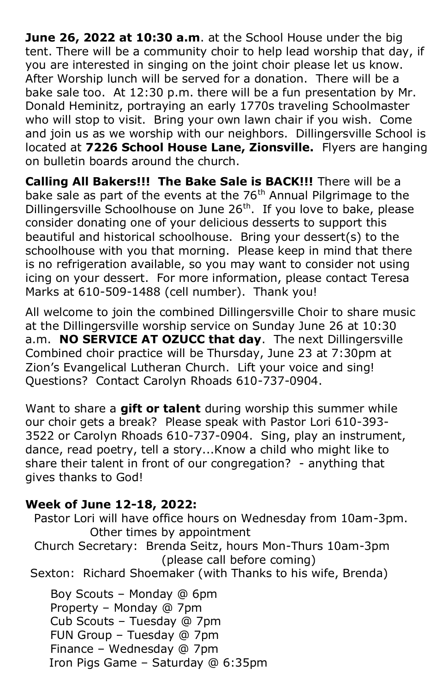**June 26, 2022 at 10:30 a.m**. at the School House under the big tent. There will be a community choir to help lead worship that day, if you are interested in singing on the joint choir please let us know. After Worship lunch will be served for a donation. There will be a bake sale too. At 12:30 p.m. there will be a fun presentation by Mr. Donald Heminitz, portraying an early 1770s traveling Schoolmaster who will stop to visit. Bring your own lawn chair if you wish. Come and join us as we worship with our neighbors. Dillingersville School is located at **7226 School House Lane, Zionsville.** Flyers are hanging on bulletin boards around the church.

**Calling All Bakers!!! The Bake Sale is BACK!!!** There will be a bake sale as part of the events at the 76<sup>th</sup> Annual Pilgrimage to the Dillingersville Schoolhouse on June 26<sup>th</sup>. If you love to bake, please consider donating one of your delicious desserts to support this beautiful and historical schoolhouse. Bring your dessert(s) to the schoolhouse with you that morning. Please keep in mind that there is no refrigeration available, so you may want to consider not using icing on your dessert. For more information, please contact Teresa Marks at 610-509-1488 (cell number). Thank you!

All welcome to join the combined Dillingersville Choir to share music at the Dillingersville worship service on Sunday June 26 at 10:30 a.m. **NO SERVICE AT OZUCC that day**. The next Dillingersville Combined choir practice will be Thursday, June 23 at 7:30pm at Zion's Evangelical Lutheran Church. Lift your voice and sing! Questions? Contact Carolyn Rhoads 610-737-0904.

Want to share a **gift or talent** during worship this summer while our choir gets a break? Please speak with Pastor Lori 610-393- 3522 or Carolyn Rhoads 610-737-0904. Sing, play an instrument, dance, read poetry, tell a story...Know a child who might like to share their talent in front of our congregation? - anything that gives thanks to God!

#### **Week of June 12-18, 2022:**

Pastor Lori will have office hours on Wednesday from 10am-3pm. Other times by appointment Church Secretary: Brenda Seitz, hours Mon-Thurs 10am-3pm (please call before coming) Sexton: Richard Shoemaker (with Thanks to his wife, Brenda) Boy Scouts – Monday @ 6pm

 Property – Monday @ 7pm Cub Scouts – Tuesday @ 7pm FUN Group – Tuesday @ 7pm Finance – Wednesday @ 7pm Iron Pigs Game – Saturday @ 6:35pm